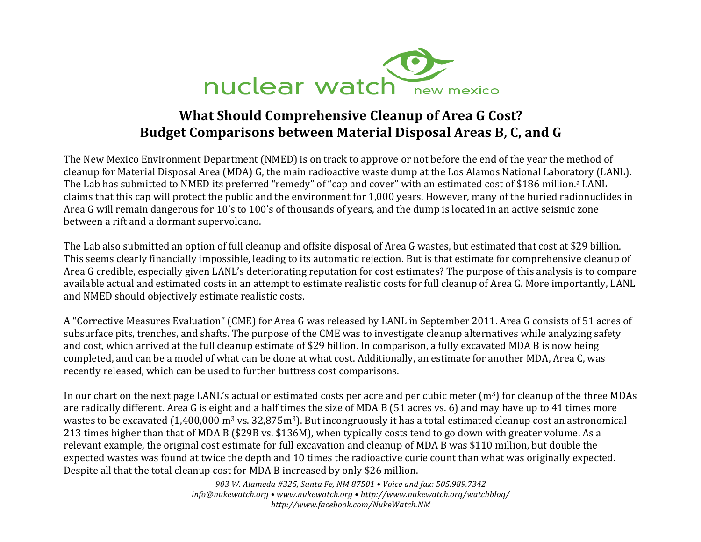

## **What Should Comprehensive Cleanup of Area G Cost?** Budget Comparisons between Material Disposal Areas B, C, and G

The New Mexico Environment Department (NMED) is on track to approve or not before the end of the year the method of cleanup for Material Disposal Area (MDA) G, the main radioactive waste dump at the Los Alamos National Laboratory (LANL). The Lab has submitted to NMED its preferred "remedy" of "cap and cover" with an estimated cost of \$186 million.<sup>a</sup> LANL claims that this cap will protect the public and the environment for 1,000 years. However, many of the buried radionuclides in Area G will remain dangerous for 10's to 100's of thousands of years, and the dump is located in an active seismic zone between a rift and a dormant supervolcano.

The Lab also submitted an option of full cleanup and offsite disposal of Area G wastes, but estimated that cost at \$29 billion. This seems clearly financially impossible, leading to its automatic rejection. But is that estimate for comprehensive cleanup of Area G credible, especially given LANL's deteriorating reputation for cost estimates? The purpose of this analysis is to compare available actual and estimated costs in an attempt to estimate realistic costs for full cleanup of Area G. More importantly, LANL and NMED should objectively estimate realistic costs.

A "Corrective Measures Evaluation" (CME) for Area G was released by LANL in September 2011. Area G consists of 51 acres of subsurface pits, trenches, and shafts. The purpose of the CME was to investigate cleanup alternatives while analyzing safety and cost, which arrived at the full cleanup estimate of \$29 billion. In comparison, a fully excavated MDA B is now being completed, and can be a model of what can be done at what cost. Additionally, an estimate for another MDA, Area C, was recently released, which can be used to further buttress cost comparisons.

In our chart on the next page LANL's actual or estimated costs per acre and per cubic meter (m<sup>3</sup>) for cleanup of the three MDAs are radically different. Area G is eight and a half times the size of MDA B (51 acres vs. 6) and may have up to 41 times more wastes to be excavated (1,400,000 m<sup>3</sup> vs. 32,875m<sup>3</sup>). But incongruously it has a total estimated cleanup cost an astronomical 213 times higher than that of MDA B (\$29B vs. \$136M), when typically costs tend to go down with greater volume. As a relevant example, the original cost estimate for full excavation and cleanup of MDA B was \$110 million, but double the expected wastes was found at twice the depth and 10 times the radioactive curie count than what was originally expected. Despite all that the total cleanup cost for MDA B increased by only \$26 million.

> 903 W. Alameda #325, Santa Fe, NM 87501 . Voice and fax: 505.989.7342 info@nukewatch.org • www.nukewatch.org • http://www.nukewatch.org/watchblog/ http://www.facebook.com/NukeWatch.NM